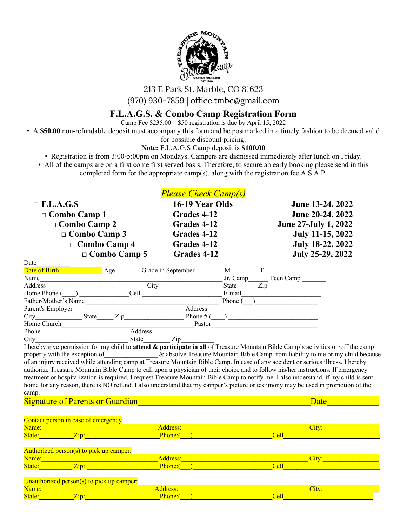

213 E Park St. Marble, CO 81623

(970) 930-7859 | office.tmbc@gmail.com

# **F.L.A.G.S. & Combo Camp Registration Form**

Camp Fee \$235.00 \$50 registration is due by April 15, 2022

• A **\$50.00** non-refundable deposit must accompany this form and be postmarked in a timely fashion to be deemed valid

for possible discount pricing.

**Note:** F.L.A.G.S Camp deposit is **\$100.00**

• Registration is from 3:00-5:00pm on Mondays. Campers are dismissed immediately after lunch on Friday.

• All of the camps are on a first come first served basis. Therefore, to secure an early booking please send in this completed form for the appropriate camp(s), along with the registration fee A.S.A.P.

|                     | <b>Please Check Camp(s)</b> |                             |
|---------------------|-----------------------------|-----------------------------|
| $\Box$ F.L.A.G.S    | 16-19 Year Olds             | June 13-24, 2022            |
| $\Box$ Combo Camp 1 | Grades 4-12                 | June 20-24, 2022            |
| $\Box$ Combo Camp 2 | Grades 4-12                 | <b>June 27-July 1, 2022</b> |
| $\Box$ Combo Camp 3 | Grades 4-12                 | July 11-15, 2022            |
| $\Box$ Combo Camp 4 | Grades 4-12                 | July 18-22, 2022            |
| $\Box$ Combo Camp 5 | Grades 4-12                 | July 25-29, 2022            |

| <u>i</u>             |       |     |              |                    |             |          |           |  |
|----------------------|-------|-----|--------------|--------------------|-------------|----------|-----------|--|
| Date of Birth        |       | Age |              | Grade in September |             | M        |           |  |
| Name                 |       |     |              |                    |             | Jr. Camp | Teen Camp |  |
| Address              |       |     | City         |                    |             | State    | Zip       |  |
| Home Phone (         |       |     | Cell         |                    |             | E-mail   |           |  |
| Father/Mother's Name |       |     |              |                    |             | Phone    |           |  |
| Parent's Employer    |       |     |              | Address            |             |          |           |  |
| City                 | State | Zip |              |                    | Phone $# ($ |          |           |  |
| Home Church          |       |     |              |                    | Pastor      |          |           |  |
| Phone                |       |     | Address      |                    |             |          |           |  |
| City                 |       |     | <b>State</b> | Zip                |             |          |           |  |

I hereby give permission for my child to **attend & participate in all** of Treasure Mountain Bible Camp's activities on/off the camp property with the exception of  $\alpha$  absolve Treasure Mountain Bible Camp from liability to me or my child because of an injury received while attending camp at Treasure Mountain Bible Camp. In case of any accident or serious illness, I hereby authorize Treasure Mountain Bible Camp to call upon a physician of their choice and to follow his/her instructions. If emergency treatment or hospitalization is required, I request Treasure Mountain Bible Camp to notify me. I also understand, if my child is sent home for any reason, there is NO refund. I also understand that my camper's picture or testimony may be used in promotion of the camp.

Signature of Parents or Guardian and the set of the set of the set of the set of the set of the Date

Date

|        | Contact person in case of emergency           |                 |       |  |
|--------|-----------------------------------------------|-----------------|-------|--|
| Name:  |                                               | <b>Address:</b> | City: |  |
| State: | Zip:                                          | Phone:(         | Cell  |  |
|        | Authorized person(s) to pick up camper:       |                 |       |  |
| Name:  |                                               | Address:        | City: |  |
| State: | Zip:                                          | Phone:(         | Cell  |  |
|        | Unauthorized person( $s$ ) to pick up camper: |                 |       |  |
| Name:  |                                               | Address:        | City: |  |
| State: | Zip:                                          | Phone:          | Cell  |  |